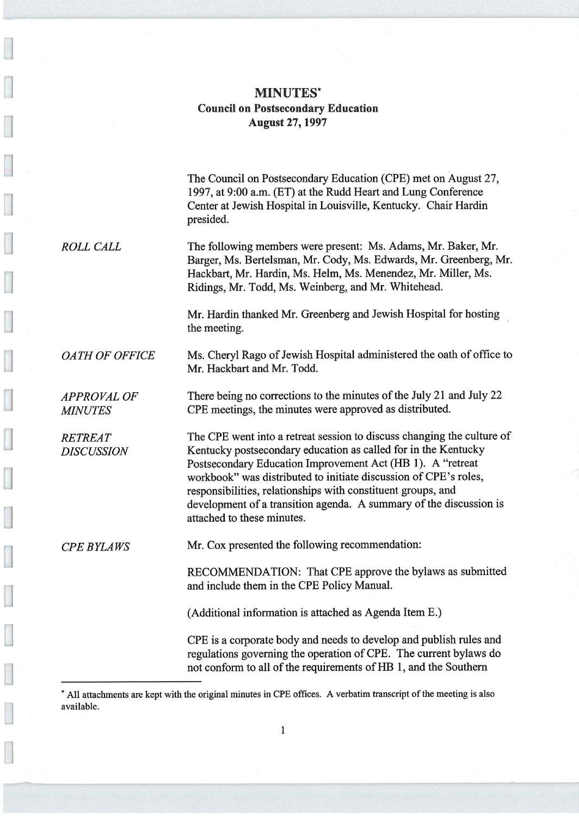## MINUTES\* Council on Postsecondary Education August 27,1997

The Council on Postsecondary Education (CPE) met on August 27, 1997, at 9:00 a.m. (ET) at the Rudd Heart and Lung Conference Center at Jewish Hospital in Louisville, Kentucky. Chair Hardin presided.

ROLL CALL The following members were present: Ms. Adams, Mr. Baker, Mr. Barger, Ms. Bertelsman, Mr. Cody, Ms. Edwards, Mr. Greenberg, Mr. Hackbart, Mr. Hardin, Ms. Helm, Ms. Menendez, Mr. Miller, Ms. Ridings, Mr. Todd, Ms. Weinberg, and Mr. Whitehead.

> Mr. Hardin thanked Mr. Greenberg and Jewish Hospital for hosting the meeting.

OATH OF OFFICE Ms. Cheryl Rago of Jewish Hospital administered the oath of office to Mr. Hackbart and Mr. Todd.

APPROVAL OF There being no corrections to the minutes of the July 21 and July 22 MINUTES CPE meetings, the minutes were approved as distributed.

RETREAT The CPE went into a retreat session to discuss changing the culture of DISCUSSION Kentucky postsecondary education as called for in the Kentucky Postsecondary Education Improvement Act (HB 1). A "retreat workbook" was distributed to initiate discussion of CPE's roles, responsibilities, relationships with constituent groups, and development of a transition agenda. A summary of the discussion is attached to these minutes.

CPE BYLAWS Mr. Cox presented the following recommendation:

RECOMMENDATION: That CPE approve the bylaws as submitted and include them in the CPE Policy Manual.

(Additional information is attached as Agenda Item E.)

CPE is a corporate body and needs to develop and publish rules and regulations governing the operation of CPE. The current bylaws do not conform to all of the requirements of HB 1, and the Southern

' All attachments are kept with the original minutes in CPE offices. A verbatim transcript of the meeting is also available.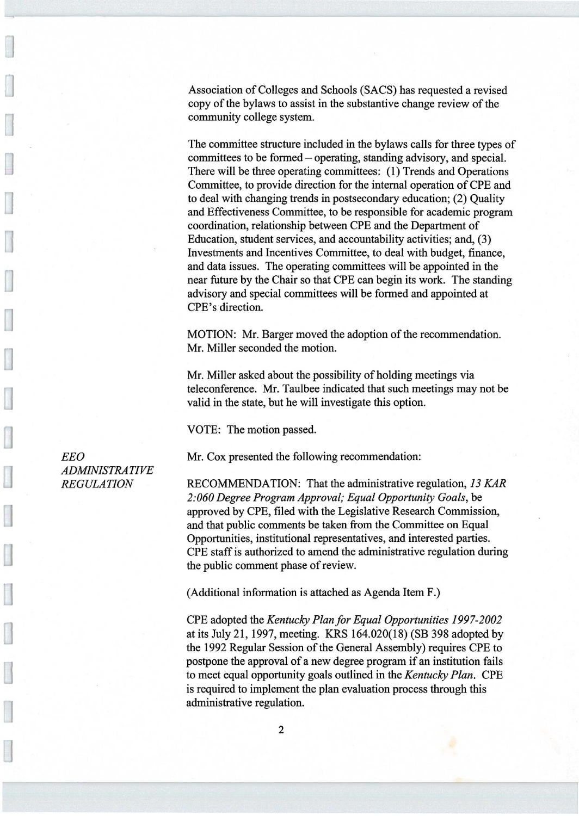Association of Colleges and Schools (SACS) has requested a revised copy of the bylaws to assist in the substantive change review of the community college system.

The committee structure included in the bylaws calls for three types of committees to be formed —operating, standing advisory, and special. There will be three operating committees: (1) Trends and Operations Committee, to provide direction for the internal operation of CPE and to deal with changing trends in postsecondary education; (2) Quality and Effectiveness Committee, to be responsible for academic program coordination, relationship between CPE and the Department of Education, student services, and accountability activities; and, (3) Investments and Incentives Committee, to deal with budget, finance, and data issues. The operating committees will be appointed in the near future by the Chair so that CPE can begin its work. The standing advisory and special committees will be formed and appointed at CPE's direction.

MOTION: Mr. Barger moved the adoption of the recommendation. Mr. Miller seconded the motion.

Mr. Miller asked about the possibility of holding meetings via teleconference. Mr. Taulbee indicated that such meetings may not be valid in the state, but he will investigate this option.

VOTE: The motion passed.

EEO Mr. Cox presented the following recommendation:

REGULATION RECOMMENDATION: That the administrative regulation, 13 KAR 2:060 Degree Program Approval; Equal Opportunity Goals, be approved by CPE, filed with the Legislative Research Commission, and that public comments be taken from the Committee on Equal Opportunities, institutional representatives, and interested parties. CPE staff is authorized to amend the administrative regulation during the public comment phase of review.

(Additional information is attached as Agenda Item F.)

CPE adopted the Kentucky Plan for Equal Opportunities 1997-2002 at its July 21, 1997, meeting. KRS 164.020(18) (SB 398 adopted by the 1992 Regular Session of the General Assembly) requires CPE to postpone the approval of a new degree program if an institution fails to meet equal opportunity goals outlined in the Kentucky Plan. CPE is required to implement the plan evaluation process through this administrative regulation.

ADMINISTRATIVE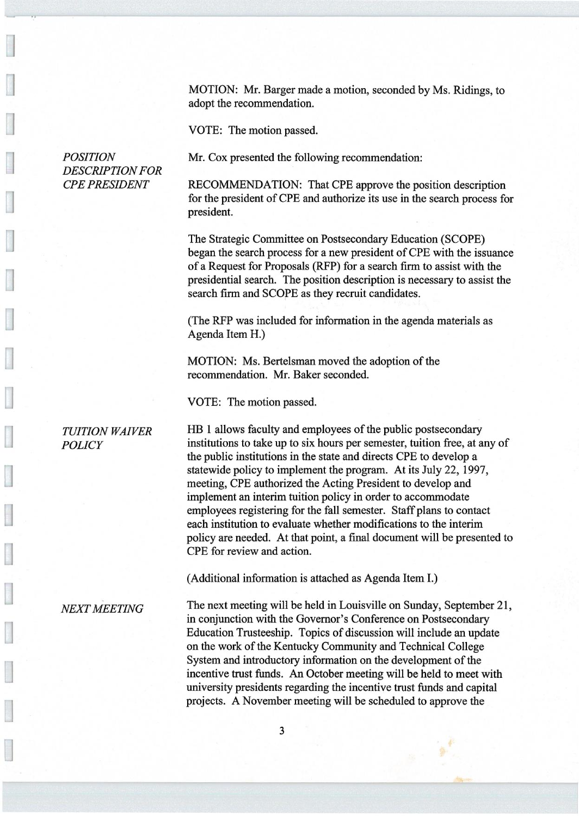MOTION: Mr. Barger made a motion, seconded by Ms. Ridings, to adopt the recommendation.

VOTE: The motion passed.

POSITION Mr. Cox presented the following recommendation:

RECOMMENDATION: That CPE approve the position description for the president of CPE and authorize its use in the search process for president.

The Strategic Committee on Postsecondary Education (SCOPE) began the search process for a new president of CPE with the issuance of a Request for Proposals (RFP) for a search firm to assist with the presidential search. The position description is necessary to assist the search firm and SCOPE as they recruit candidates.

(The RFP was included for information in the agenda materials as Agenda Item H.)

MOTION: Ms. Bertelsman moved the adoption of the recommendation. Mr. Baker seconded.

VOTE: The motion passed.

DESCRIPTION FOR

TUITION WAIVER HB 1 allows faculty and employees of the public postsecondary POLICY institutions to take up to six hours per semester, tuition free, at any of the public institutions in the state and directs CPE to develop a statewide policy to implement the program. At its July 22, 1997, meeting, CPE authorized the Acting President to develop and implement an interim tuition policy in order to accommodate employees registering for the fall semester. Staff plans to contact each institution to evaluate whether modifications to the interim policy are needed. At that point, a final document will be presented to CPE for review and action.

(Additional information is attached as Agenda Item I.)

NEXT MEETING The next meeting will be held in Louisville on Sunday, September 21, in conjunction with the Governor's Conference on Postsecondary Education Trusteeship. Topics of discussion will include an update on the work of the Kentucky Community and Technical College System and introductory information on the development of the incentive trust funds. An October meeting will be held to meet with university presidents regarding the incentive trust funds and capital projects. A November meeting will be scheduled to approve the